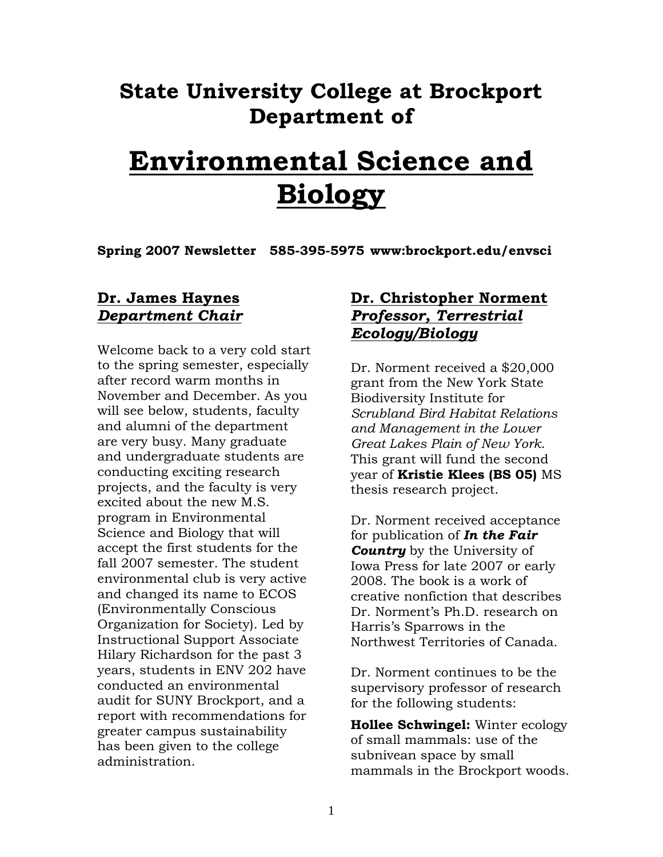## **State University College at Brockport Department of**

# **Environmental Science and Biology**

**Spring 2007 Newsletter 585-395-5975 www:brockport.edu/envsci** 

## **Dr. James Haynes** *Department Chair*

Welcome back to a very cold start to the spring semester, especially after record warm months in November and December. As you will see below, students, faculty and alumni of the department are very busy. Many graduate and undergraduate students are conducting exciting research projects, and the faculty is very excited about the new M.S. program in Environmental Science and Biology that will accept the first students for the fall 2007 semester. The student environmental club is very active and changed its name to ECOS (Environmentally Conscious Organization for Society). Led by Instructional Support Associate Hilary Richardson for the past 3 years, students in ENV 202 have conducted an environmental audit for SUNY Brockport, and a report with recommendations for greater campus sustainability has been given to the college administration.

## **Dr. Christopher Norment** *Professor, Terrestrial Ecology/Biology*

Dr. Norment received a \$20,000 grant from the New York State Biodiversity Institute for *Scrubland Bird Habitat Relations and Management in the Lower Great Lakes Plain of New York*. This grant will fund the second year of **Kristie Klees (BS 05)** MS thesis research project.

Dr. Norment received acceptance for publication of *In the Fair Country* by the University of Iowa Press for late 2007 or early 2008. The book is a work of creative nonfiction that describes Dr. Norment's Ph.D. research on Harris's Sparrows in the Northwest Territories of Canada.

Dr. Norment continues to be the supervisory professor of research for the following students:

**Hollee Schwingel:** Winter ecology of small mammals: use of the subnivean space by small mammals in the Brockport woods.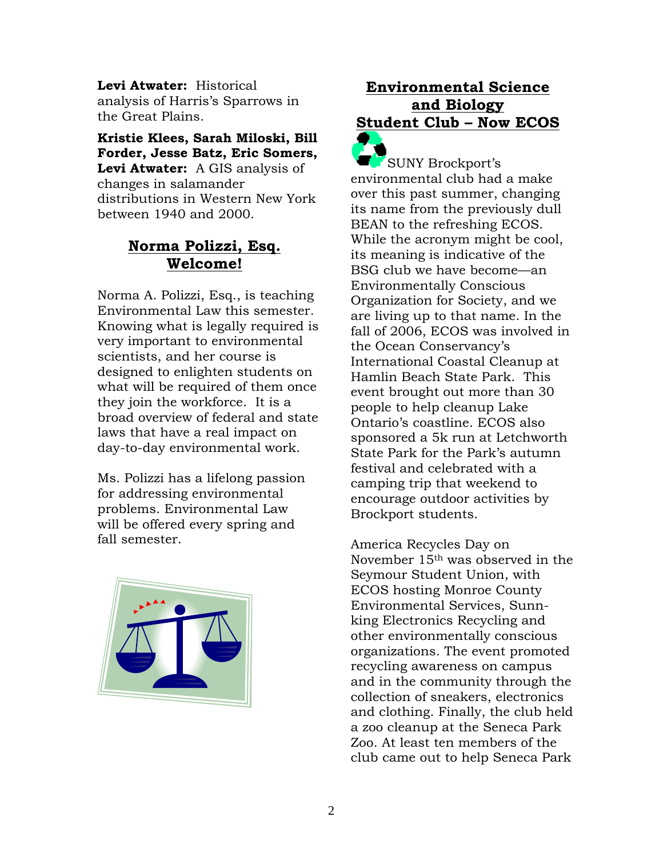**Levi Atwater:** Historical analysis of Harris's Sparrows in the Great Plains.

**Kristie Klees, Sarah Miloski, Bill Forder, Jesse Batz, Eric Somers, Levi Atwater:** A GIS analysis of changes in salamander distributions in Western New York between 1940 and 2000.

## **Norma Polizzi, Esq. Welcome!**

Norma A. Polizzi, Esq., is teaching Environmental Law this semester. Knowing what is legally required is very important to environmental scientists, and her course is designed to enlighten students on what will be required of them once they join the workforce. It is a broad overview of federal and state laws that have a real impact on day-to-day environmental work.

Ms. Polizzi has a lifelong passion for addressing environmental problems. Environmental Law will be offered every spring and fall semester.



## **Environmental Science and Biology Student Club – Now ECOS**

SUNY Brockport's environmental club had a make over this past summer, changing its name from the previously dull BEAN to the refreshing ECOS. While the acronym might be cool, its meaning is indicative of the BSG club we have become—an Environmentally Conscious Organization for Society, and we are living up to that name. In the fall of 2006, ECOS was involved in the Ocean Conservancy's International Coastal Cleanup at Hamlin Beach State Park. This event brought out more than 30 people to help cleanup Lake Ontario's coastline. ECOS also sponsored a 5k run at Letchworth State Park for the Park's autumn festival and celebrated with a camping trip that weekend to encourage outdoor activities by Brockport students.

America Recycles Day on November 15th was observed in the Seymour Student Union, with ECOS hosting Monroe County Environmental Services, Sunnking Electronics Recycling and other environmentally conscious organizations. The event promoted recycling awareness on campus and in the community through the collection of sneakers, electronics and clothing. Finally, the club held a zoo cleanup at the Seneca Park Zoo. At least ten members of the club came out to help Seneca Park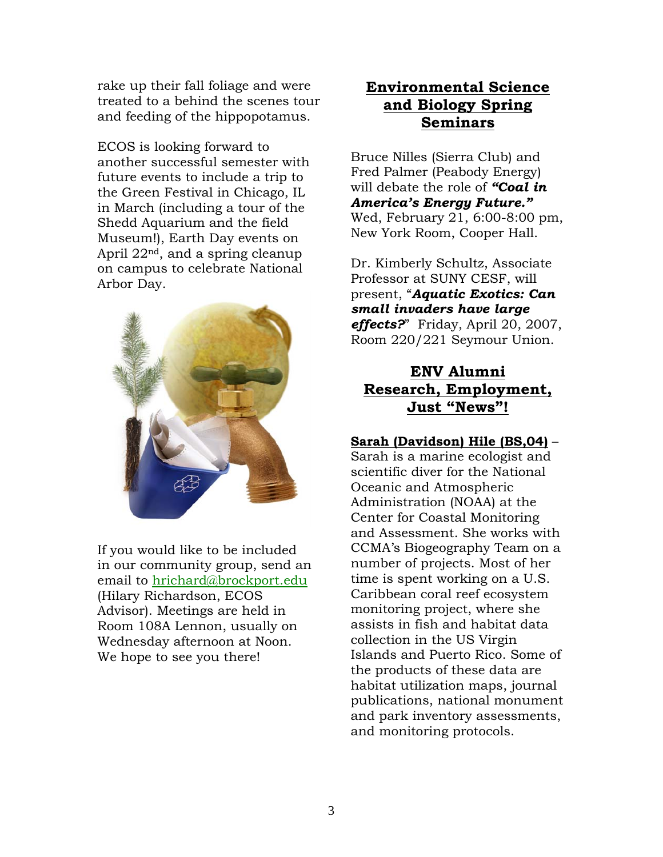rake up their fall foliage and were treated to a behind the scenes tour and feeding of the hippopotamus.

ECOS is looking forward to another successful semester with future events to include a trip to the Green Festival in Chicago, IL in March (including a tour of the Shedd Aquarium and the field Museum!), Earth Day events on April 22nd, and a spring cleanup on campus to celebrate National Arbor Day.



If you would like to be included in our community group, send an email to [hrichard@brockport.edu](mailto:hrichard@brockport.edu) (Hilary Richardson, ECOS Advisor). Meetings are held in Room 108A Lennon, usually on Wednesday afternoon at Noon. We hope to see you there!

## **Environmental Science and Biology Spring Seminars**

Bruce Nilles (Sierra Club) and Fred Palmer (Peabody Energy) will debate the role of *"Coal in America's Energy Future."* Wed, February 21, 6:00-8:00 pm, New York Room, Cooper Hall.

Dr. Kimberly Schultz, Associate Professor at SUNY CESF, will present, "*Aquatic Exotics: Can small invaders have large effects?*" Friday, April 20, 2007, Room 220/221 Seymour Union.

## **ENV Alumni Research, Employment, Just "News"!**

### **Sarah (Davidson) Hile (BS,04)** –

Sarah is a marine ecologist and scientific diver for the National Oceanic and Atmospheric Administration (NOAA) at the Center for Coastal Monitoring and Assessment. She works with CCMA's Biogeography Team on a number of projects. Most of her time is spent working on a U.S. Caribbean coral reef ecosystem monitoring project, where she assists in fish and habitat data collection in the US Virgin Islands and Puerto Rico. Some of the products of these data are habitat utilization maps, journal publications, national monument and park inventory assessments, and monitoring protocols.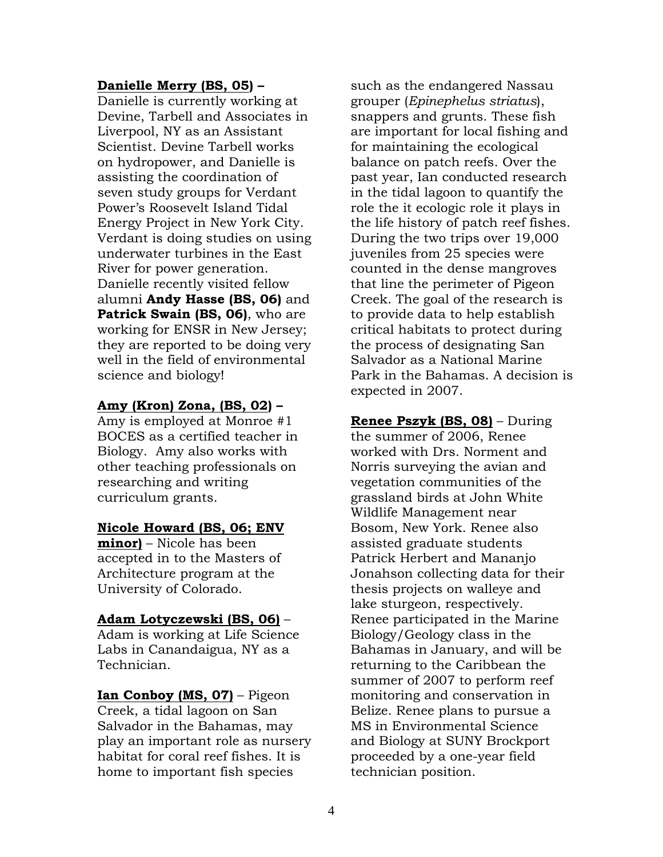#### **Danielle Merry (BS, 05) –**

Danielle is currently working at Devine, Tarbell and Associates in Liverpool, NY as an Assistant Scientist. Devine Tarbell works on hydropower, and Danielle is assisting the coordination of seven study groups for Verdant Power's Roosevelt Island Tidal Energy Project in New York City. Verdant is doing studies on using underwater turbines in the East River for power generation. Danielle recently visited fellow alumni **Andy Hasse (BS, 06)** and **Patrick Swain (BS, 06)**, who are working for ENSR in New Jersey; they are reported to be doing very well in the field of environmental science and biology!

#### **Amy (Kron) Zona, (BS, 02) –**

Amy is employed at Monroe #1 BOCES as a certified teacher in Biology. Amy also works with other teaching professionals on researching and writing curriculum grants.

#### **Nicole Howard (BS, 06; ENV**

**minor)** – Nicole has been accepted in to the Masters of Architecture program at the University of Colorado.

#### **Adam Lotyczewski (BS, 06)** –

Adam is working at Life Science Labs in Canandaigua, NY as a Technician.

**Ian Conboy (MS, 07)** – Pigeon Creek, a tidal lagoon on San Salvador in the Bahamas, may play an important role as nursery habitat for coral reef fishes. It is home to important fish species

such as the endangered Nassau grouper (*Epinephelus striatus*), snappers and grunts. These fish are important for local fishing and for maintaining the ecological balance on patch reefs. Over the past year, Ian conducted research in the tidal lagoon to quantify the role the it ecologic role it plays in the life history of patch reef fishes. During the two trips over 19,000 juveniles from 25 species were counted in the dense mangroves that line the perimeter of Pigeon Creek. The goal of the research is to provide data to help establish critical habitats to protect during the process of designating San Salvador as a National Marine Park in the Bahamas. A decision is expected in 2007.

**Renee Pszyk (BS, 08)** – During the summer of 2006, Renee worked with Drs. Norment and Norris surveying the avian and vegetation communities of the grassland birds at John White Wildlife Management near Bosom, New York. Renee also assisted graduate students Patrick Herbert and Mananjo Jonahson collecting data for their thesis projects on walleye and lake sturgeon, respectively. Renee participated in the Marine Biology/Geology class in the Bahamas in January, and will be returning to the Caribbean the summer of 2007 to perform reef monitoring and conservation in Belize. Renee plans to pursue a MS in Environmental Science and Biology at SUNY Brockport proceeded by a one-year field technician position.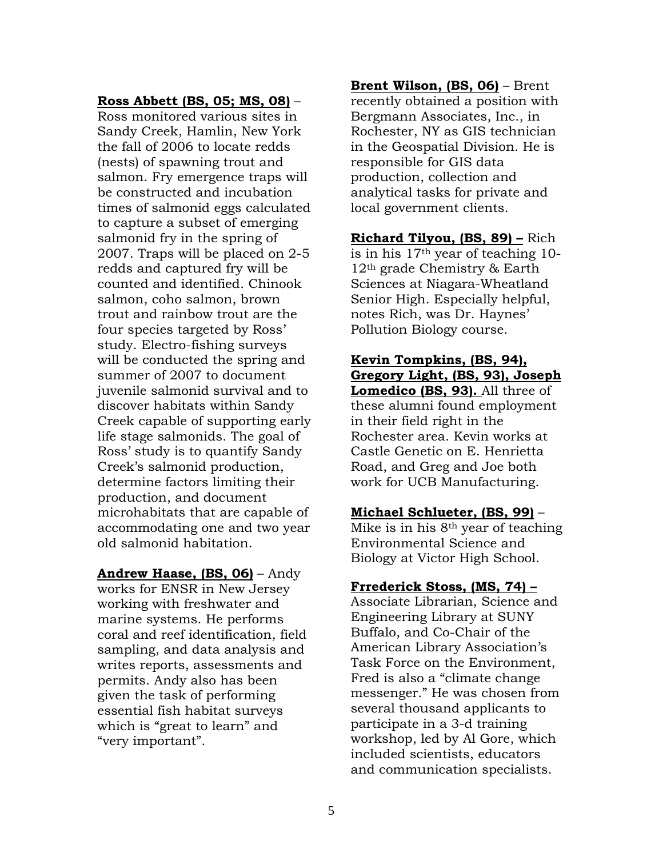#### **Ross Abbett (BS, 05; MS, 08)** –

Ross monitored various sites in Sandy Creek, Hamlin, New York the fall of 2006 to locate redds (nests) of spawning trout and salmon. Fry emergence traps will be constructed and incubation times of salmonid eggs calculated to capture a subset of emerging salmonid fry in the spring of 2007. Traps will be placed on 2-5 redds and captured fry will be counted and identified. Chinook salmon, coho salmon, brown trout and rainbow trout are the four species targeted by Ross' study. Electro-fishing surveys will be conducted the spring and summer of 2007 to document juvenile salmonid survival and to discover habitats within Sandy Creek capable of supporting early life stage salmonids. The goal of Ross' study is to quantify Sandy Creek's salmonid production, determine factors limiting their production, and document microhabitats that are capable of accommodating one and two year old salmonid habitation.

**Andrew Haase, (BS, 06)** – Andy works for ENSR in New Jersey working with freshwater and marine systems. He performs coral and reef identification, field sampling, and data analysis and writes reports, assessments and permits. Andy also has been given the task of performing essential fish habitat surveys which is "great to learn" and "very important".

**Brent Wilson, (BS, 06)** – Brent recently obtained a position with Bergmann Associates, Inc., in Rochester, NY as GIS technician in the Geospatial Division. He is responsible for GIS data production, collection and analytical tasks for private and local government clients.

**Richard Tilyou, (BS, 89) –** Rich is in his 17th year of teaching 10- 12th grade Chemistry & Earth Sciences at Niagara-Wheatland Senior High. Especially helpful, notes Rich, was Dr. Haynes' Pollution Biology course.

**Kevin Tompkins, (BS, 94), Gregory Light, (BS, 93), Joseph Lomedico (BS, 93).** All three of these alumni found employment in their field right in the Rochester area. Kevin works at Castle Genetic on E. Henrietta Road, and Greg and Joe both work for UCB Manufacturing.

#### **Michael Schlueter, (BS, 99)** –

Mike is in his 8th year of teaching Environmental Science and Biology at Victor High School.

#### **Frrederick Stoss, (MS, 74) –**

Associate Librarian, Science and Engineering Library at SUNY Buffalo, and Co-Chair of the American Library Association's Task Force on the Environment, Fred is also a "climate change messenger." He was chosen from several thousand applicants to participate in a 3-d training workshop, led by Al Gore, which included scientists, educators and communication specialists.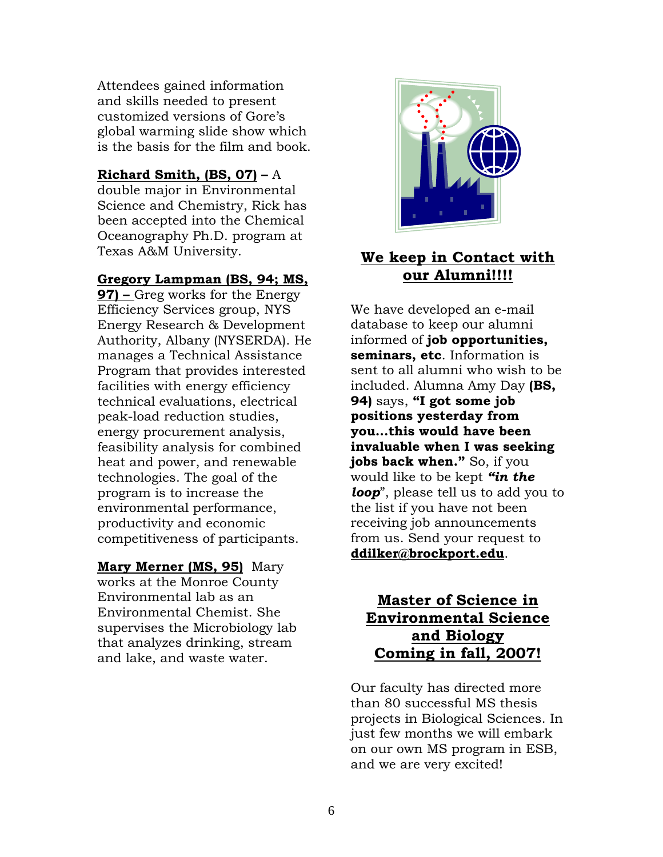Attendees gained information and skills needed to present customized versions of Gore's global warming slide show which is the basis for the film and book.

#### **Richard Smith, (BS, 07) –** A

double major in Environmental Science and Chemistry, Rick has been accepted into the Chemical Oceanography Ph.D. program at Texas A&M University.

#### **Gregory Lampman (BS, 94; MS,**

**97) –** Greg works for the Energy Efficiency Services group, NYS Energy Research & Development Authority, Albany (NYSERDA). He manages a Technical Assistance Program that provides interested facilities with energy efficiency technical evaluations, electrical peak-load reduction studies, energy procurement analysis, feasibility analysis for combined heat and power, and renewable technologies. The goal of the program is to increase the environmental performance, productivity and economic competitiveness of participants.

#### **Mary Merner (MS, 95)** Mary

works at the Monroe County Environmental lab as an Environmental Chemist. She supervises the Microbiology lab that analyzes drinking, stream and lake, and waste water.



## **We keep in Contact with our Alumni!!!!**

We have developed an e-mail database to keep our alumni informed of **job opportunities, seminars, etc**. Information is sent to all alumni who wish to be included. Alumna Amy Day **(BS, 94)** says, **"I got some job positions yesterday from you…this would have been invaluable when I was seeking jobs back when."** So, if you would like to be kept *"in the loop*", please tell us to add you to the list if you have not been receiving job announcements from us. Send your request to **[ddilker@brockport.edu](mailto:ddilker@brockport.edu)**.

## **Master of Science in Environmental Science and Biology Coming in fall, 2007!**

Our faculty has directed more than 80 successful MS thesis projects in Biological Sciences. In just few months we will embark on our own MS program in ESB, and we are very excited!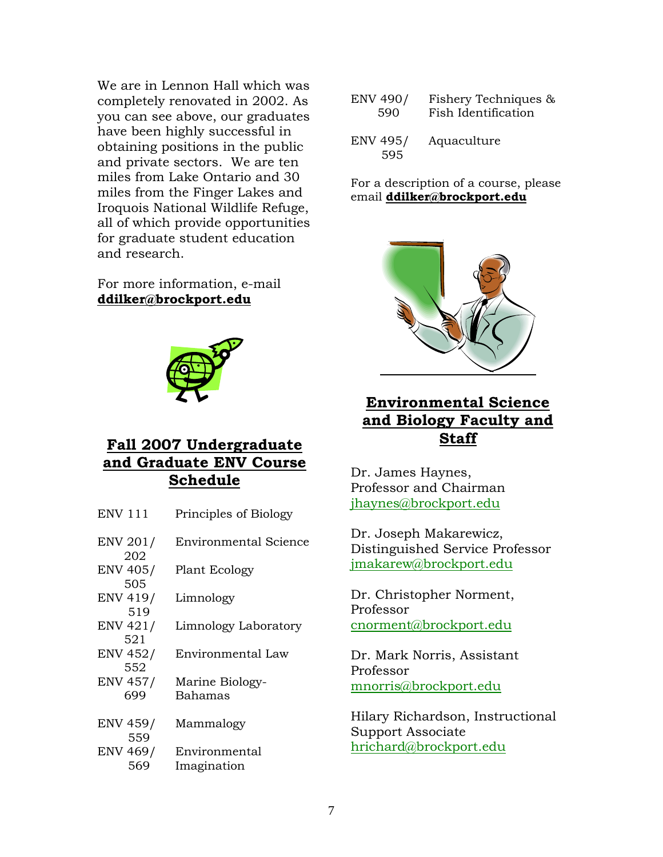We are in Lennon Hall which was completely renovated in 2002. As you can see above, our graduates have been highly successful in obtaining positions in the public and private sectors. We are ten miles from Lake Ontario and 30 miles from the Finger Lakes and Iroquois National Wildlife Refuge, all of which provide opportunities for graduate student education and research.

For more information, e-mail **[ddilker@brockport.edu](mailto:ddilker@brockport.edu)**



## **Fall 2007 Undergraduate and Graduate ENV Course Schedule**

| Principles of Biology                    |
|------------------------------------------|
| Environmental Science                    |
| Plant Ecology                            |
| Limnology                                |
| Limnology Laboratory                     |
| Environmental Law                        |
| Marine Biology-<br>Bahamas               |
|                                          |
| Mammalogy                                |
| ENV 469/<br>Environmental<br>Imagination |
|                                          |

| <b>ENV 490/</b>        | Fishery Techniques & |
|------------------------|----------------------|
| 590                    | Fish Identification  |
| <b>ENV 495/</b><br>595 | Aquaculture          |

For a description of a course, please email **[ddilker@brockport.edu](mailto:ddilker@brockport.edu)**



## **Environmental Science and Biology Faculty and Staff**

Dr. James Haynes, Professor and Chairman [jhaynes@brockport.edu](mailto:jhaynes@brockport.edu)

Dr. Joseph Makarewicz, Distinguished Service Professor [jmakarew@brockport.edu](mailto:jmakarew@brockport.edu)

Dr. Christopher Norment, Professor [cnorment@brockport.edu](mailto:cnorment@brockport.edu)

Dr. Mark Norris, Assistant Professor [mnorris@brockport.edu](mailto:mnorris@brockport.edu)

Hilary Richardson, Instructional Support Associate [hrichard@brockport.edu](mailto:hrichard@brockport.edu)